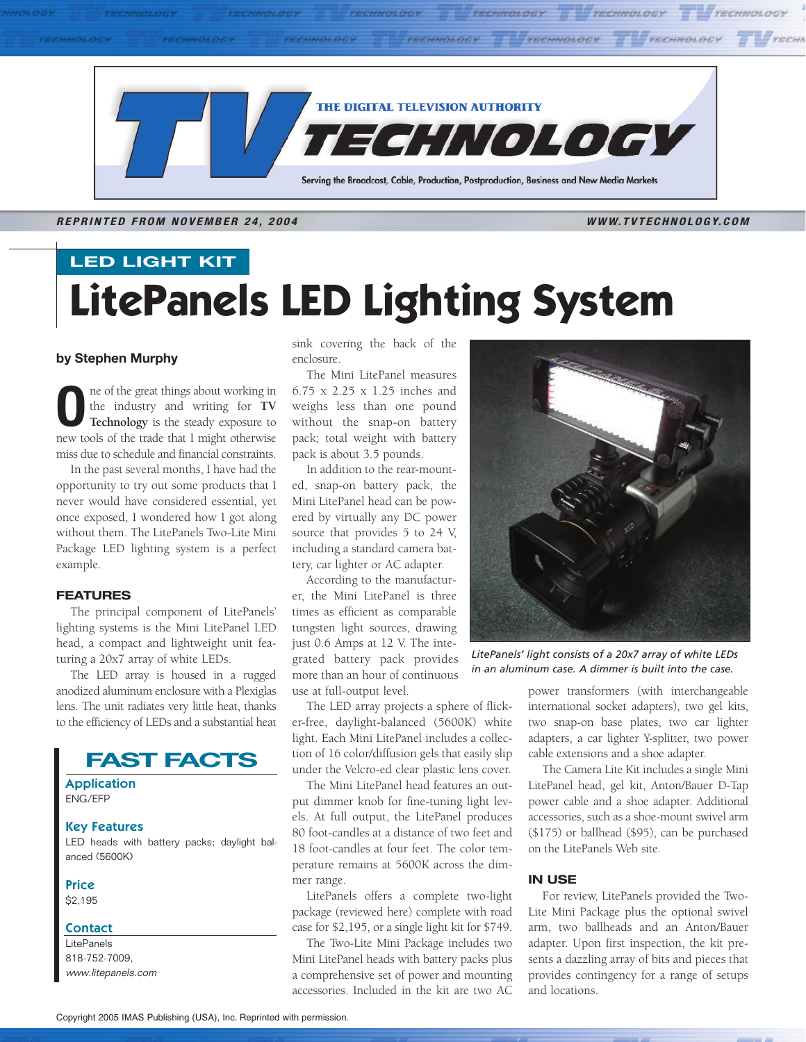

TECHNOLOGY

### **REPRINTED FROM NOVEMBER 24, 2004 WWW.TVTECHNOLOGY.COM**

TECHNOLOGY

TECHNOLOGY

# **LitePanels LED Lighting System LED LIGHT KIT**

#### **by Stephen Murphy**

**O**ne of the great things about working in the industry and writing for **TV Technology** is the steady exposure to new tools of the trade that I might otherwise miss due to schedule and financial constraints.

In the past several months, I have had the opportunity to try out some products that I never would have considered essential, yet once exposed, I wondered how I got along without them. The LitePanels Two-Lite Mini Package LED lighting system is a perfect example.

### **FEATURES**

The principal component of LitePanels' lighting systems is the Mini LitePanel LED head, a compact and lightweight unit featuring a 20x7 array of white LEDs.

The LED array is housed in a rugged anodized aluminum enclosure with a Plexiglas lens. The unit radiates very little heat, thanks to the efficiency of LEDs and a substantial heat



Application ENG/EFP

#### Key Features

LED heads with battery packs; daylight balanced (5600K)

## Price

\$2,195

#### Contact

LitePanels 818-752-7009, www.litepanels.com

sink covering the back of the enclosure.

The Mini LitePanel measures 6.75 x 2.25 x 1.25 inches and weighs less than one pound without the snap-on battery pack; total weight with battery pack is about 3.5 pounds.

In addition to the rear-mounted, snap-on battery pack, the Mini LitePanel head can be powered by virtually any DC power source that provides 5 to 24 V, including a standard camera battery, car lighter or AC adapter.

According to the manufacturer, the Mini LitePanel is three times as efficient as comparable tungsten light sources, drawing just 0.6 Amps at 12 V. The integrated battery pack provides more than an hour of continuous use at full-output level.

The LED array projects a sphere of flicker-free, daylight-balanced (5600K) white light. Each Mini LitePanel includes a collection of 16 color/diffusion gels that easily slip under the Velcro-ed clear plastic lens cover.

The Mini LitePanel head features an output dimmer knob for fine-tuning light levels. At full output, the LitePanel produces 80 foot-candles at a distance of two feet and 18 foot-candles at four feet. The color temperature remains at 5600K across the dimmer range.

LitePanels offers a complete two-light package (reviewed here) complete with road case for \$2,195, or a single light kit for \$749.

The Two-Lite Mini Package includes two Mini LitePanel heads with battery packs plus a comprehensive set of power and mounting accessories. Included in the kit are two AC



*LitePanels' light consists of a 20x7 array of white LEDs in an aluminum case. A dimmer is built into the case.*

power transformers (with interchangeable international socket adapters), two gel kits, two snap-on base plates, two car lighter adapters, a car lighter Y-splitter, two power cable extensions and a shoe adapter.

The Camera Lite Kit includes a single Mini LitePanel head, gel kit, Anton/Bauer D-Tap power cable and a shoe adapter. Additional accessories, such as a shoe-mount swivel arm (\$175) or ballhead (\$95), can be purchased on the LitePanels Web site.

#### **IN USE**

For review, LitePanels provided the Two-Lite Mini Package plus the optional swivel arm, two ballheads and an Anton/Bauer adapter. Upon first inspection, the kit presents a dazzling array of bits and pieces that provides contingency for a range of setups and locations.